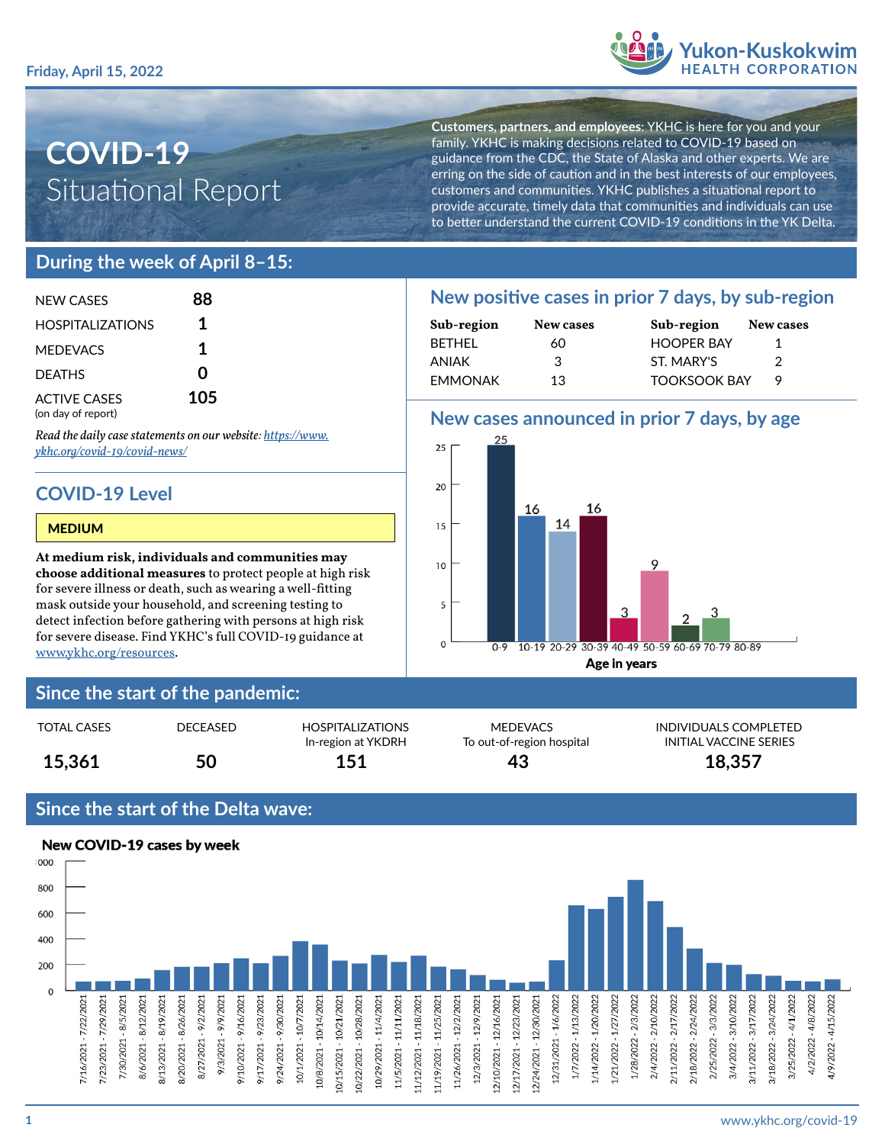

# **COVID-19** Situational Report

**Customers, partners, and employees**: YKHC is here for you and your family. YKHC is making decisions related to COVID-19 based on guidance from the CDC, the State of Alaska and other experts. We are erring on the side of caution and in the best interests of our employees, customers and communities. YKHC publishes a situational report to provide accurate, timely data that communities and individuals can use to better understand the current COVID-19 conditions in the YK Delta.

# **During the week of April 8–15:**

| NFW CASES                                 | 88  |  |
|-------------------------------------------|-----|--|
| <b>HOSPITALIZATIONS</b>                   | 1   |  |
| <b>MEDEVACS</b>                           | 1   |  |
| <b>DEATHS</b>                             | U   |  |
| <b>ACTIVE CASES</b><br>(on day of report) | 105 |  |

*Read the daily case statements on our website: [https://www.](https://www.ykhc.org/covid-19/covid-news/) [ykhc.org/covid-19/covid-news/](https://www.ykhc.org/covid-19/covid-news/)*

# **COVID-19 Level**

#### MEDIUM

**At medium risk, individuals and communities may choose additional measures** to protect people at high risk for severe illness or death, such as wearing a well-fitting mask outside your household, and screening testing to detect infection before gathering with persons at high risk for severe disease. Find YKHC's full COVID-19 guidance at [www.ykhc.org/resources](http://www.ykhc.org/resources).

## **Since the start of the pandemic:**

| 15,361             | 50       | In-region at YKDRH<br>151 | To out-of-region hospital<br>43 | INITIAL VACCINE !<br>18,357 |
|--------------------|----------|---------------------------|---------------------------------|-----------------------------|
| <b>TOTAL CASES</b> | DECEASED | <b>HOSPITALIZATIONS</b>   | MEDEVACS                        | <b>INDIVIDUALS COM</b>      |

## **Since the start of the Delta wave:**



# **New positive cases in prior 7 days, by sub-region**

| Sub-region     | New cases | Sub-region          | New cases |
|----------------|-----------|---------------------|-----------|
| <b>BETHEL</b>  | 60        | <b>HOOPER BAY</b>   |           |
| ANIAK          | 3         | ST. MARY'S          |           |
| <b>EMMONAK</b> | 13        | <b>TOOKSOOK BAY</b> |           |

## **New cases announced in prior 7 days, by age**



MEDEVACS INDIVIDUALS COMPLETED To out-of-region hospital **INITIAL VACCINE SERIES**